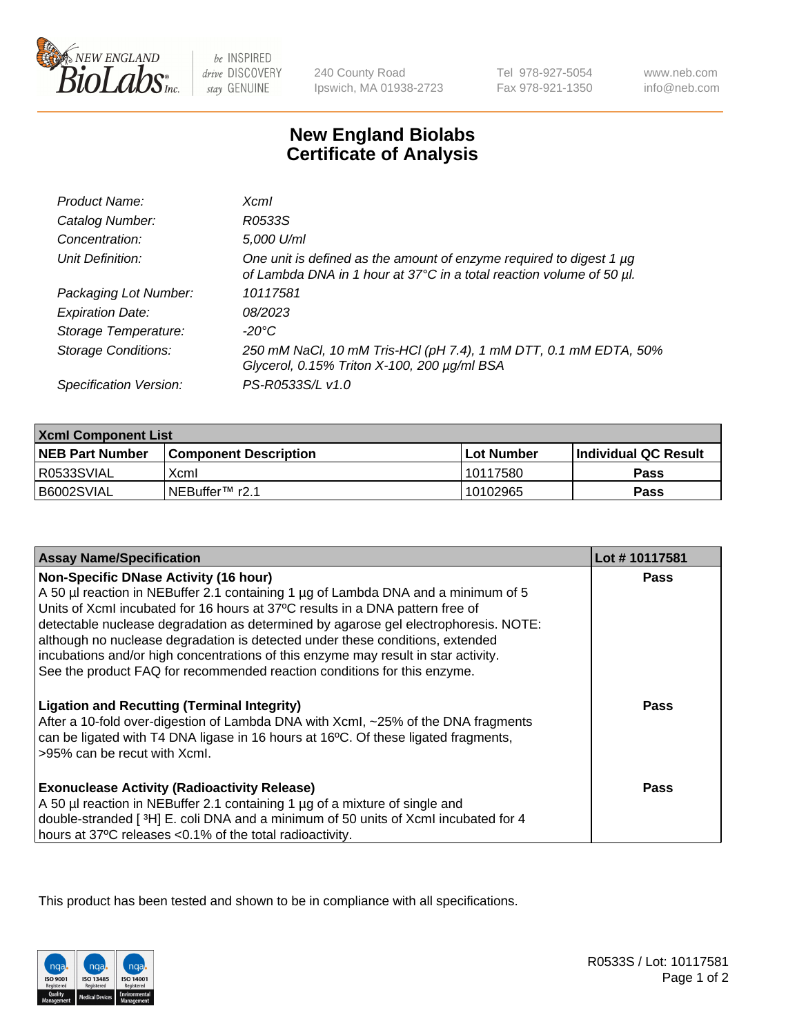

 $be$  INSPIRED drive DISCOVERY stay GENUINE

240 County Road Ipswich, MA 01938-2723 Tel 978-927-5054 Fax 978-921-1350

www.neb.com info@neb.com

## **New England Biolabs Certificate of Analysis**

| Product Name:              | $X$ cm $I$                                                                                                                                  |
|----------------------------|---------------------------------------------------------------------------------------------------------------------------------------------|
| Catalog Number:            | R0533S                                                                                                                                      |
| Concentration:             | 5,000 U/ml                                                                                                                                  |
| Unit Definition:           | One unit is defined as the amount of enzyme required to digest 1 µg<br>of Lambda DNA in 1 hour at 37°C in a total reaction volume of 50 µl. |
| Packaging Lot Number:      | 10117581                                                                                                                                    |
| <b>Expiration Date:</b>    | 08/2023                                                                                                                                     |
| Storage Temperature:       | -20°C                                                                                                                                       |
| <b>Storage Conditions:</b> | 250 mM NaCl, 10 mM Tris-HCl (pH 7.4), 1 mM DTT, 0.1 mM EDTA, 50%<br>Glycerol, 0.15% Triton X-100, 200 µg/ml BSA                             |
| Specification Version:     | PS-R0533S/L v1.0                                                                                                                            |

| <b>Xcml Component List</b> |                              |              |                        |  |
|----------------------------|------------------------------|--------------|------------------------|--|
| <b>NEB Part Number</b>     | <b>Component Description</b> | l Lot Number | l Individual QC Result |  |
| R0533SVIAL                 | Xcml                         | 10117580     | Pass                   |  |
| B6002SVIAL                 | i NEBuffer™ r2.1             | 10102965     | Pass                   |  |

| <b>Assay Name/Specification</b>                                                                                                                                                                                                                                                                                                                                                                                                                                                                                                                              | Lot #10117581 |
|--------------------------------------------------------------------------------------------------------------------------------------------------------------------------------------------------------------------------------------------------------------------------------------------------------------------------------------------------------------------------------------------------------------------------------------------------------------------------------------------------------------------------------------------------------------|---------------|
| <b>Non-Specific DNase Activity (16 hour)</b><br>A 50 µl reaction in NEBuffer 2.1 containing 1 µg of Lambda DNA and a minimum of 5<br>Units of XcmI incubated for 16 hours at 37°C results in a DNA pattern free of<br>detectable nuclease degradation as determined by agarose gel electrophoresis. NOTE:<br>although no nuclease degradation is detected under these conditions, extended<br>incubations and/or high concentrations of this enzyme may result in star activity.<br>See the product FAQ for recommended reaction conditions for this enzyme. | <b>Pass</b>   |
| <b>Ligation and Recutting (Terminal Integrity)</b><br>After a 10-fold over-digestion of Lambda DNA with Xcml, ~25% of the DNA fragments<br>can be ligated with T4 DNA ligase in 16 hours at 16°C. Of these ligated fragments,<br>>95% can be recut with Xcml.                                                                                                                                                                                                                                                                                                | Pass          |
| <b>Exonuclease Activity (Radioactivity Release)</b><br>A 50 µl reaction in NEBuffer 2.1 containing 1 µg of a mixture of single and<br>double-stranded [3H] E. coli DNA and a minimum of 50 units of Xcml incubated for 4<br>hours at 37°C releases <0.1% of the total radioactivity.                                                                                                                                                                                                                                                                         | Pass          |

This product has been tested and shown to be in compliance with all specifications.